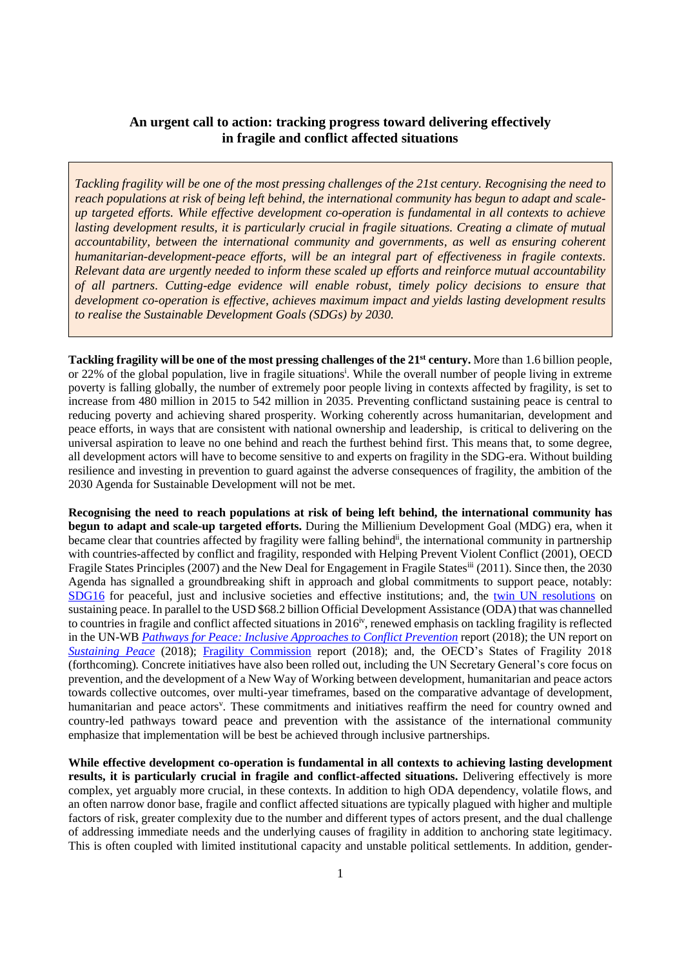## **An urgent call to action: tracking progress toward delivering effectively in fragile and conflict affected situations**

*Tackling fragility will be one of the most pressing challenges of the 21st century. Recognising the need to reach populations at risk of being left behind, the international community has begun to adapt and scaleup targeted efforts. While effective development co-operation is fundamental in all contexts to achieve lasting development results, it is particularly crucial in fragile situations. Creating a climate of mutual accountability, between the international community and governments, as well as ensuring coherent humanitarian-development-peace efforts, will be an integral part of effectiveness in fragile contexts. Relevant data are urgently needed to inform these scaled up efforts and reinforce mutual accountability of all partners. Cutting-edge evidence will enable robust, timely policy decisions to ensure that development co-operation is effective, achieves maximum impact and yields lasting development results to realise the Sustainable Development Goals (SDGs) by 2030.*

**Tackling fragility will be one of the most pressing challenges of the 21st century.** More than 1.6 billion people, or 22% of the global population, live in fragile situations<sup>i</sup>. While the overall number of people living in extreme poverty is falling globally, the number of extremely poor people living in contexts affected by fragility, is set to increase from 480 million in 2015 to 542 million in 2035. Preventing conflictand sustaining peace is central to reducing poverty and achieving shared prosperity. Working coherently across humanitarian, development and peace efforts, in ways that are consistent with national ownership and leadership, is critical to delivering on the universal aspiration to leave no one behind and reach the furthest behind first. This means that, to some degree, all development actors will have to become sensitive to and experts on fragility in the SDG-era. Without building resilience and investing in prevention to guard against the adverse consequences of fragility, the ambition of the 2030 Agenda for Sustainable Development will not be met.

**Recognising the need to reach populations at risk of being left behind, the international community has begun to adapt and scale-up targeted efforts.** During the Millienium Development Goal (MDG) era, when it became clear that countries affected by fragility were falling behind<sup>ii</sup>, the international community in partnership with countries-affected by conflict and fragility, responded with Helping Prevent Violent Conflict (2001), OECD Fragile States Principles (2007) and the New Deal for Engagement in Fragile Statesiii (2011). Since then, the 2030 Agenda has signalled a groundbreaking shift in approach and global commitments to support peace, notably: [SDG16](https://sustainabledevelopment.un.org/sdg16) for peaceful, just and inclusive societies and effective institutions; and, the [twin UN resolutions](http://www.un.org/en/development/desa/population/migration/generalassembly/docs/globalcompact/A_RES_70_262.pdf) on sustaining peace. In parallel to the USD \$68.2 billion Official Development Assistance (ODA) that was channelled to countries in fragile and conflict affected situations in 2016<sup>iv</sup>, renewed emphasis on tackling fragility is reflected in the UN-WB *[Pathways for Peace:](https://www.pathwaysforpeace.org/) Inclusive Approaches to Conflict Prevention* report (2018); the UN report on *[Sustaining Peace](https://reliefweb.int/sites/reliefweb.int/files/resources/SG%20report%20on%20peacebuilding%20and%20sustaining%20peace.As%20issued.A-72-707-S-2018-43.E.pdf)* (2018); [Fragility Commission](https://www.theigc.org/research-themes/state/fragility-commission/) report (2018); and, the OECD's States of Fragility 2018 (forthcoming)*.* Concrete initiatives have also been rolled out, including the UN Secretary General's core focus on prevention, and the development of a New Way of Working between development, humanitarian and peace actors towards collective outcomes, over multi-year timeframes, based on the comparative advantage of development, humanitarian and peace actors<sup>v</sup>. These commitments and initiatives reaffirm the need for country owned and country-led pathways toward peace and prevention with the assistance of the international community emphasize that implementation will be best be achieved through inclusive partnerships.

**While effective development co-operation is fundamental in all contexts to achieving lasting development results, it is particularly crucial in fragile and conflict-affected situations.** Delivering effectively is more complex, yet arguably more crucial, in these contexts. In addition to high ODA dependency, volatile flows, and an often narrow donor base, fragile and conflict affected situations are typically plagued with higher and multiple factors of risk, greater complexity due to the number and different types of actors present, and the dual challenge of addressing immediate needs and the underlying causes of fragility in addition to anchoring state legitimacy. This is often coupled with limited institutional capacity and unstable political settlements. In addition, gender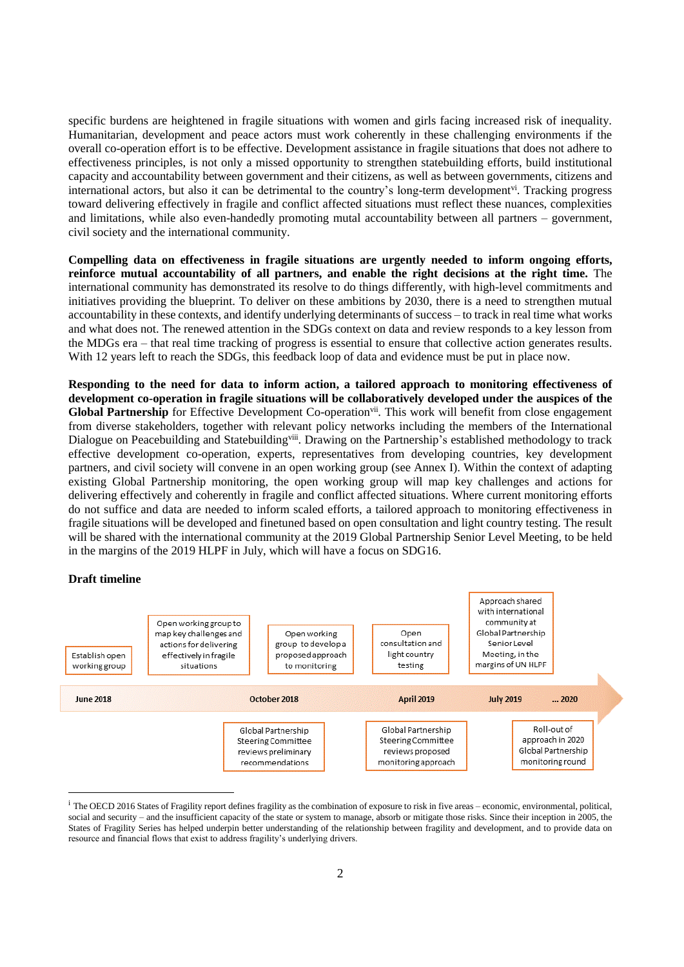specific burdens are heightened in fragile situations with women and girls facing increased risk of inequality. Humanitarian, development and peace actors must work coherently in these challenging environments if the overall co-operation effort is to be effective. Development assistance in fragile situations that does not adhere to effectiveness principles, is not only a missed opportunity to strengthen statebuilding efforts, build institutional capacity and accountability between government and their citizens, as well as between governments, citizens and international actors, but also it can be detrimental to the country's long-term development<sup>vi</sup>. Tracking progress toward delivering effectively in fragile and conflict affected situations must reflect these nuances, complexities and limitations, while also even-handedly promoting mutal accountability between all partners – government, civil society and the international community.

**Compelling data on effectiveness in fragile situations are urgently needed to inform ongoing efforts, reinforce mutual accountability of all partners, and enable the right decisions at the right time.** The international community has demonstrated its resolve to do things differently, with high-level commitments and initiatives providing the blueprint. To deliver on these ambitions by 2030, there is a need to strengthen mutual accountability in these contexts, and identify underlying determinants of success – to track in real time what works and what does not. The renewed attention in the SDGs context on data and review responds to a key lesson from the MDGs era – that real time tracking of progress is essential to ensure that collective action generates results. With 12 years left to reach the SDGs, this feedback loop of data and evidence must be put in place now.

**Responding to the need for data to inform action, a tailored approach to monitoring effectiveness of development co-operation in fragile situations will be collaboratively developed under the auspices of the**  Global Partnership for Effective Development Co-operation<sup>vii</sup>. This work will benefit from close engagement from diverse stakeholders, together with relevant policy networks including the members of the International Dialogue on Peacebuilding and Statebuilding<sup>viii</sup>. Drawing on the Partnership's established methodology to track effective development co-operation, experts, representatives from developing countries, key development partners, and civil society will convene in an open working group (see Annex I). Within the context of adapting existing Global Partnership monitoring, the open working group will map key challenges and actions for delivering effectively and coherently in fragile and conflict affected situations. Where current monitoring efforts do not suffice and data are needed to inform scaled efforts, a tailored approach to monitoring effectiveness in fragile situations will be developed and finetuned based on open consultation and light country testing. The result will be shared with the international community at the 2019 Global Partnership Senior Level Meeting, to be held in the margins of the 2019 HLPF in July, which will have a focus on SDG16.

## **Draft timeline**



 $\,$ <sup>i</sup> The OECD 2016 States of Fragility report defines fragility as the combination of exposure to risk in five areas – economic, environmental, political, social and security – and the insufficient capacity of the state or system to manage, absorb or mitigate those risks. Since their inception in 2005, the States of Fragility Series has helped underpin better understanding of the relationship between fragility and development, and to provide data on resource and financial flows that exist to address fragility's underlying drivers.